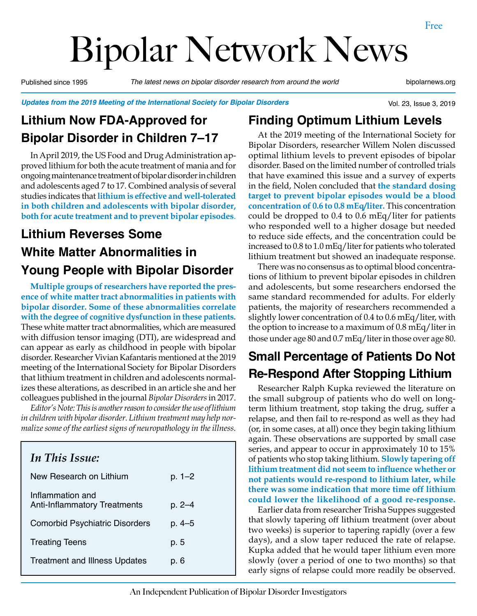# Bipolar Network News

Published since 1995 *The latest news on bipolar disorder research from around the world* bipolarnews.org

Vol. 23, Issue 3, 2019

*Updates from the 2019 Meeting of the International Society for Bipolar Disorders*

# **Lithium Now FDA-Approved for Bipolar Disorder in Children 7–17**

In April 2019, the US Food and Drug Administration approved lithium for both the acute treatment of mania and for ongoing maintenance treatment of bipolar disorder in children and adolescents aged 7 to 17. Combined analysis of several studies indicates that **lithium is effective and well-tolerated in both children and adolescents with bipolar disorder, both for acute treatment and to prevent bipolar episodes**.

# **Lithium Reverses Some White Matter Abnormalities in Young People with Bipolar Disorder**

**Multiple groups of researchers have reported the presence of white matter tract abnormalities in patients with bipolar disorder. Some of these abnormalities correlate with the degree of cognitive dysfunction in these patients.**  These white matter tract abnormalities, which are measured with diffusion tensor imaging (DTI), are widespread and can appear as early as childhood in people with bipolar disorder. Researcher Vivian Kafantaris mentioned at the 2019 meeting of the International Society for Bipolar Disorders that lithium treatment in children and adolescents normalizes these alterations, as described in an article she and her colleagues published in the journal *Bipolar Disorders* in 2017.

*Editor's Note: This is another reason to consider the use of lithium in children with bipolar disorder. Lithium treatment may help normalize some of the earliest signs of neuropathology in the illness.*

# *In This Issue:* New Research on Lithium p. 1–2 Inflammation and Anti-Inflammatory Treatments p. 2-4 Comorbid Psychiatric Disorders p. 4–5 Treating Teens **p. 5** Treatment and Illness Updates p. 6

#### **Finding Optimum Lithium Levels**

At the 2019 meeting of the International Society for Bipolar Disorders, researcher Willem Nolen discussed optimal lithium levels to prevent episodes of bipolar disorder. Based on the limited number of controlled trials that have examined this issue and a survey of experts in the field, Nolen concluded that **the standard dosing target to prevent bipolar episodes would be a blood concentration of 0.6 to 0.8 mEq/liter.** This concentration could be dropped to 0.4 to 0.6 mEq/liter for patients who responded well to a higher dosage but needed to reduce side effects, and the concentration could be increased to 0.8 to 1.0 mEq/liter for patients who tolerated lithium treatment but showed an inadequate response.

There was no consensus as to optimal blood concentrations of lithium to prevent bipolar episodes in children and adolescents, but some researchers endorsed the same standard recommended for adults. For elderly patients, the majority of researchers recommended a slightly lower concentration of 0.4 to 0.6 mEq/liter, with the option to increase to a maximum of 0.8 mEq/liter in those under age 80 and 0.7 mEq/liter in those over age 80.

#### **Small Percentage of Patients Do Not Re-Respond After Stopping Lithium**

Researcher Ralph Kupka reviewed the literature on the small subgroup of patients who do well on longterm lithium treatment, stop taking the drug, suffer a relapse, and then fail to re-respond as well as they had (or, in some cases, at all) once they begin taking lithium again. These observations are supported by small case series, and appear to occur in approximately 10 to 15% of patients who stop taking lithium. **Slowly tapering off lithium treatment did not seem to influence whether or not patients would re-respond to lithium later, while there was some indication that more time off lithium could lower the likelihood of a good re-response.**

Earlier data from researcher Trisha Suppes suggested that slowly tapering off lithium treatment (over about two weeks) is superior to tapering rapidly (over a few days), and a slow taper reduced the rate of relapse. Kupka added that he would taper lithium even more slowly (over a period of one to two months) so that early signs of relapse could more readily be observed.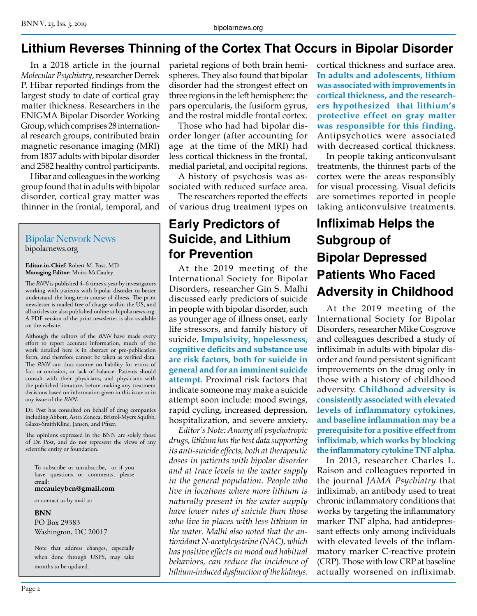#### **Lithium Reverses Thinning of the Cortex That Occurs in Bipolar Disorder**

In a 2018 article in the journal *Molecular Psychiatry*, researcher Derrek P. Hibar reported findings from the largest study to date of cortical gray matter thickness. Researchers in the ENIGMA Bipolar Disorder Working Group, which comprises 28 international research groups, contributed brain magnetic resonance imaging (MRI) from 1837 adults with bipolar disorder and 2582 healthy control participants.

Hibar and colleagues in the working group found that in adults with bipolar disorder, cortical gray matter was thinner in the frontal, temporal, and

#### Bipolar Network News bipolarnews.org

**Editor-in-Chief**: Robert M. Post, MD **Managing Editor**: Moira McCauley

The *BNN* is published 4–6 times a year by investigators working with patients with bipolar disorder to better understand the long-term course of illness. The print newsletter is mailed free of charge within the US, and all articles are also published online at bipolarnews.org. A PDF version of the print newsletter is also available on the website.

Although the editors of the *BNN* have made every effort to report accurate information, much of the work detailed here is in abstract or pre-publication form, and therefore cannot be taken as verified data. The **BNN** can thus assume no liability for errors of fact or omission, or lack of balance. Patients should consult with their physicians, and physicians with the published literature, before making any treatment decisions based on information given in this issue or in any issue of the *BNN*.

Dr. Post has consulted on behalf of drug companies including Abbott, Astra Zeneca, Bristol-Myers Squibb, Glaxo-SmithKline, Jansen, and Pfizer.

The opinions expressed in the BNN are solely those of Dr. Post, and do not represent the views of any scientific entity or foundation.

To subscribe or unsubscribe, or if you have questions or comments, please email:

**mccauleybcn@gmail.com**

or contact us by mail at:

**BNN**

PO Box 29383 Washington, DC 20017

Note that address changes, especially when done through USPS, may take months to be updated.

parietal regions of both brain hemispheres. They also found that bipolar disorder had the strongest effect on three regions in the left hemisphere: the pars opercularis, the fusiform gyrus, and the rostral middle frontal cortex.

Those who had had bipolar disorder longer (after accounting for age at the time of the MRI) had less cortical thickness in the frontal, medial parietal, and occipital regions.

A history of psychosis was associated with reduced surface area.

The researchers reported the effects of various drug treatment types on

#### **Early Predictors of Suicide, and Lithium for Prevention**

At the 2019 meeting of the International Society for Bipolar Disorders, researcher Gin S. Malhi discussed early predictors of suicide in people with bipolar disorder, such as younger age of illness onset, early life stressors, and family history of suicide. **Impulsivity, hopelessness, cognitive deficits and substance use are risk factors, both for suicide in general and for an imminent suicide attempt.** Proximal risk factors that indicate someone may make a suicide attempt soon include: mood swings, rapid cycling, increased depression, hospitalization, and severe anxiety.

*Editor's Note: Among all psychotropic drugs, lithium has the best data supporting its anti-suicide effects, both at therapeutic doses in patients with bipolar disorder and at trace levels in the water supply in the general population. People who live in locations where more lithium is naturally present in the water supply have lower rates of suicide than those who live in places with less lithium in the water. Malhi also noted that the antioxidant N-acetylcysteine (NAC), which has positive effects on mood and habitual behaviors, can reduce the incidence of lithium-induced dysfunction of the kidneys.* 

cortical thickness and surface area. **In adults and adolescents, lithium was associated with improvements in cortical thickness, and the researchers hypothesized that lithium's protective effect on gray matter was responsible for this finding.**  Antipsychotics were associated with decreased cortical thickness.

In people taking anticonvulsant treatments, the thinnest parts of the cortex were the areas responsibly for visual processing. Visual deficits are sometimes reported in people taking anticonvulsive treatments.

### **Infliximab Helps the Subgroup of Bipolar Depressed Patients Who Faced Adversity in Childhood**

At the 2019 meeting of the International Society for Bipolar Disorders, researcher Mike Cosgrove and colleagues described a study of infliximab in adults with bipolar disorder and found persistent significant improvements on the drug only in those with a history of childhood adversity. **Childhood adversity is consistently associated with elevated levels of inflammatory cytokines, and baseline inflammation may be a prerequisite for a positive effect from infliximab, which works by blocking the inflammatory cytokine TNF alpha.**

In 2013, researcher Charles L. Raison and colleagues reported in the journal *JAMA Psychiatry* that infliximab, an antibody used to treat chronic inflammatory conditions that works by targeting the inflammatory marker TNF alpha, had antidepressant effects only among individuals with elevated levels of the inflammatory marker C-reactive protein (CRP). Those with low CRP at baseline actually worsened on infliximab.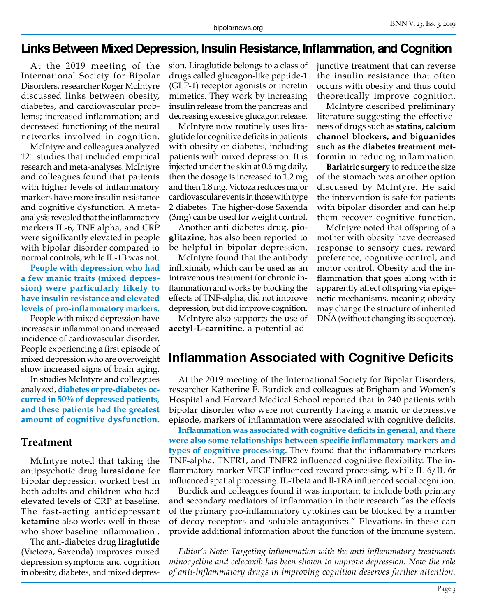#### **Links Between Mixed Depression, Insulin Resistance, Inflammation, and Cognition**

At the 2019 meeting of the International Society for Bipolar Disorders, researcher Roger McIntyre discussed links between obesity, diabetes, and cardiovascular problems; increased inflammation; and decreased functioning of the neural networks involved in cognition.

McIntyre and colleagues analyzed 121 studies that included empirical research and meta-analyses. McIntyre and colleagues found that patients with higher levels of inflammatory markers have more insulin resistance and cognitive dysfunction. A metaanalysis revealed that the inflammatory markers IL-6, TNF alpha, and CRP were significantly elevated in people with bipolar disorder compared to normal controls, while IL-1B was not.

**People with depression who had a few manic traits (mixed depression) were particularly likely to have insulin resistance and elevated levels of pro-inflammatory markers.**

People with mixed depression have increases in inflammation and increased incidence of cardiovascular disorder. People experiencing a first episode of mixed depression who are overweight show increased signs of brain aging.

In studies McIntyre and colleagues analyzed, **diabetes or pre-diabetes occurred in 50% of depressed patients, and these patients had the greatest amount of cognitive dysfunction.**

#### **Treatment**

McIntyre noted that taking the antipsychotic drug **lurasidone** for bipolar depression worked best in both adults and children who had elevated levels of CRP at baseline. The fast-acting antidepressant **ketamine** also works well in those who show baseline inflammation .

The anti-diabetes drug **liraglutide** (Victoza, Saxenda) improves mixed depression symptoms and cognition in obesity, diabetes, and mixed depression. Liraglutide belongs to a class of drugs called glucagon-like peptide-1 (GLP-1) receptor agonists or incretin mimetics. They work by increasing insulin release from the pancreas and decreasing excessive glucagon release.

McIntyre now routinely uses liraglutide for cognitive deficits in patients with obesity or diabetes, including patients with mixed depression. It is injected under the skin at 0.6 mg daily, then the dosage is increased to 1.2 mg and then 1.8 mg. Victoza reduces major cardiovascular events in those with type 2 diabetes. The higher-dose Saxenda (3mg) can be used for weight control.

Another anti-diabetes drug, **pioglitazine**, has also been reported to be helpful in bipolar depression.

McIntyre found that the antibody infliximab, which can be used as an intravenous treatment for chronic inflammation and works by blocking the effects of TNF-alpha, did not improve depression, but did improve cognition.

McIntyre also supports the use of **acetyl-L-carnitine**, a potential adjunctive treatment that can reverse the insulin resistance that often occurs with obesity and thus could theoretically improve cognition.

McIntyre described preliminary literature suggesting the effectiveness of drugs such as **statins, calcium channel blockers, and biguanides such as the diabetes treatment metformin** in reducing inflammation.

**Bariatric surgery** to reduce the size of the stomach was another option discussed by McIntyre. He said the intervention is safe for patients with bipolar disorder and can help them recover cognitive function.

McIntyre noted that offspring of a mother with obesity have decreased response to sensory cues, reward preference, cognitive control, and motor control. Obesity and the inflammation that goes along with it apparently affect offspring via epigenetic mechanisms, meaning obesity may change the structure of inherited DNA (without changing its sequence).

#### **Inflammation Associated with Cognitive Deficits**

At the 2019 meeting of the International Society for Bipolar Disorders, researcher Katherine E. Burdick and colleagues at Brigham and Women's Hospital and Harvard Medical School reported that in 240 patients with bipolar disorder who were not currently having a manic or depressive episode, markers of inflammation were associated with cognitive deficits.

**Inflammation was associated with cognitive deficits in general, and there were also some relationships between specific inflammatory markers and types of cognitive processing.** They found that the inflammatory markers TNF-alpha, TNFR1, and TNFR2 influenced cognitive flexibility. The inflammatory marker VEGF influenced reward processing, while IL-6/IL-6r influenced spatial processing. IL-1beta and Il-1RA influenced social cognition.

Burdick and colleagues found it was important to include both primary and secondary mediators of inflammation in their research "as the effects of the primary pro-inflammatory cytokines can be blocked by a number of decoy receptors and soluble antagonists." Elevations in these can provide additional information about the function of the immune system.

*Editor's Note: Targeting inflammation with the anti-inflammatory treatments minocycline and celecoxib has been shown to improve depression. Now the role of anti-inflammatory drugs in improving cognition deserves further attention.*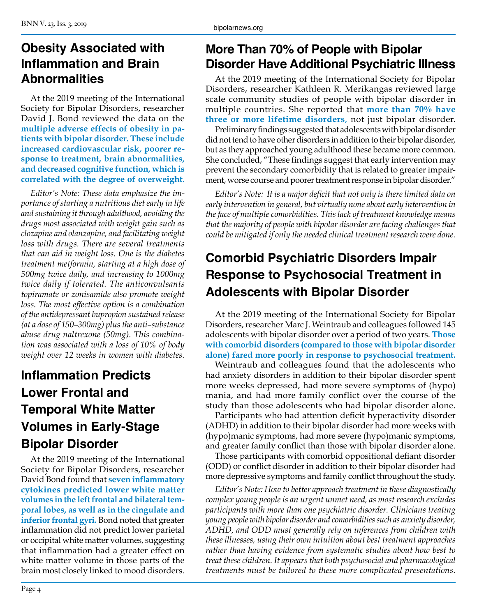#### **Obesity Associated with Inflammation and Brain Abnormalities**

At the 2019 meeting of the International Society for Bipolar Disorders, researcher David J. Bond reviewed the data on the **multiple adverse effects of obesity in patients with bipolar disorder. These include increased cardiovascular risk, poorer response to treatment, brain abnormalities, and decreased cognitive function, which is correlated with the degree of overweight.**

*Editor's Note: These data emphasize the importance of starting a nutritious diet early in life and sustaining it through adulthood, avoiding the drugs most associated with weight gain such as clozapine and olanzapine, and facilitating weight loss with drugs. There are several treatments that can aid in weight loss. One is the diabetes treatment metformin, starting at a high dose of 500mg twice daily, and increasing to 1000mg twice daily if tolerated. The anticonvulsants topiramate or zonisamide also promote weight loss. The most effective option is a combination of the antidepressant bupropion sustained release (at a dose of 150–300mg) plus the anti–substance abuse drug naltrexone (50mg). This combination was associated with a loss of 10% of body weight over 12 weeks in women with diabetes.*

# **Inflammation Predicts Lower Frontal and Temporal White Matter Volumes in Early‐Stage Bipolar Disorder**

At the 2019 meeting of the International Society for Bipolar Disorders, researcher David Bond found that **seven inflammatory cytokines predicted lower white matter volumes in the left frontal and bilateral temporal lobes, as well as in the cingulate and inferior frontal gyri.** Bond noted that greater inflammation did not predict lower parietal or occipital white matter volumes, suggesting that inflammation had a greater effect on white matter volume in those parts of the brain most closely linked to mood disorders.

#### **More Than 70% of People with Bipolar Disorder Have Additional Psychiatric Illness**

At the 2019 meeting of the International Society for Bipolar Disorders, researcher Kathleen R. Merikangas reviewed large scale community studies of people with bipolar disorder in multiple countries. She reported that **more than 70% have three or more lifetime disorders**, not just bipolar disorder.

Preliminary findings suggested that adolescents with bipolar disorder did not tend to have other disorders in addition to their bipolar disorder, but as they approached young adulthood these became more common. She concluded, "These findings suggest that early intervention may prevent the secondary comorbidity that is related to greater impairment, worse course and poorer treatment response in bipolar disorder."

*Editor's Note: It is a major deficit that not only is there limited data on early intervention in general, but virtually none about early intervention in the face of multiple comorbidities. This lack of treatment knowledge means that the majority of people with bipolar disorder are facing challenges that could be mitigated if only the needed clinical treatment research were done.*

# **Comorbid Psychiatric Disorders Impair Response to Psychosocial Treatment in Adolescents with Bipolar Disorder**

At the 2019 meeting of the International Society for Bipolar Disorders, researcher Marc J. Weintraub and colleagues followed 145 adolescents with bipolar disorder over a period of two years. **Those with comorbid disorders (compared to those with bipolar disorder alone) fared more poorly in response to psychosocial treatment.** 

Weintraub and colleagues found that the adolescents who had anxiety disorders in addition to their bipolar disorder spent more weeks depressed, had more severe symptoms of (hypo) mania, and had more family conflict over the course of the study than those adolescents who had bipolar disorder alone.

Participants who had attention deficit hyperactivity disorder (ADHD) in addition to their bipolar disorder had more weeks with (hypo)manic symptoms, had more severe (hypo)manic symptoms, and greater family conflict than those with bipolar disorder alone.

Those participants with comorbid oppositional defiant disorder (ODD) or conflict disorder in addition to their bipolar disorder had more depressive symptoms and family conflict throughout the study.

*Editor's Note: How to better approach treatment in these diagnostically complex young people is an urgent unmet need, as most research excludes participants with more than one psychiatric disorder. Clinicians treating young people with bipolar disorder and comorbidities such as anxiety disorder, ADHD, and ODD must generally rely on inferences from children with these illnesses, using their own intuition about best treatment approaches rather than having evidence from systematic studies about how best to treat these children. It appears that both psychosocial and pharmacological treatments must be tailored to these more complicated presentations.*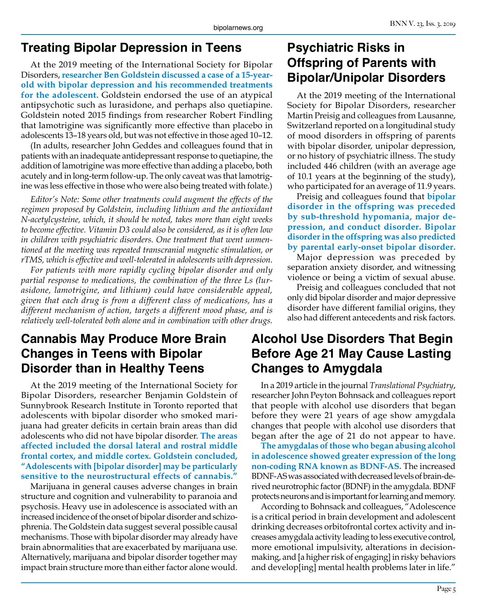#### **Treating Bipolar Depression in Teens**

At the 2019 meeting of the International Society for Bipolar Disorders, **researcher Ben Goldstein discussed a case of a 15-yearold with bipolar depression and his recommended treatments for the adolescent.** Goldstein endorsed the use of an atypical antipsychotic such as lurasidone, and perhaps also quetiapine. Goldstein noted 2015 findings from researcher Robert Findling that lamotrigine was significantly more effective than placebo in adolescents 13–18 years old, but was not effective in those aged 10–12.

(In adults, researcher John Geddes and colleagues found that in patients with an inadequate antidepressant response to quetiapine, the addition of lamotrigine was more effective than adding a placebo, both acutely and in long-term follow-up. The only caveat was that lamotrigine was less effective in those who were also being treated with folate.)

*Editor's Note: Some other treatments could augment the effects of the regimen proposed by Goldstein, including lithium and the antioxidant N-acetylcysteine, which, it should be noted, takes more than eight weeks to become effective. Vitamin D3 could also be considered, as it is often low in children with psychiatric disorders. One treatment that went unmentioned at the meeting was repeated transcranial magnetic stimulation, or rTMS, which is effective and well-tolerated in adolescents with depression.*

*For patients with more rapidly cycling bipolar disorder and only partial response to medications, the combination of the three Ls (lurasidone, lamotrigine, and lithium) could have considerable appeal, given that each drug is from a different class of medications, has a different mechanism of action, targets a different mood phase, and is relatively well-tolerated both alone and in combination with other drugs.*

#### **Cannabis May Produce More Brain Changes in Teens with Bipolar Disorder than in Healthy Teens**

At the 2019 meeting of the International Society for Bipolar Disorders, researcher Benjamin Goldstein of Sunnybrook Research Institute in Toronto reported that adolescents with bipolar disorder who smoked marijuana had greater deficits in certain brain areas than did adolescents who did not have bipolar disorder. **The areas affected included the dorsal lateral and rostral middle frontal cortex, and middle cortex. Goldstein concluded, "Adolescents with [bipolar disorder] may be particularly sensitive to the neurostructural effects of cannabis."** 

Marijuana in general causes adverse changes in brain structure and cognition and vulnerability to paranoia and psychosis. Heavy use in adolescence is associated with an increased incidence of the onset of bipolar disorder and schizophrenia. The Goldstein data suggest several possible causal mechanisms. Those with bipolar disorder may already have brain abnormalities that are exacerbated by marijuana use. Alternatively, marijuana and bipolar disorder together may impact brain structure more than either factor alone would.

#### **Psychiatric Risks in Offspring of Parents with Bipolar/Unipolar Disorders**

At the 2019 meeting of the International Society for Bipolar Disorders, researcher Martin Preisig and colleagues from Lausanne, Switzerland reported on a longitudinal study of mood disorders in offspring of parents with bipolar disorder, unipolar depression, or no history of psychiatric illness. The study included 446 children (with an average age of 10.1 years at the beginning of the study), who participated for an average of 11.9 years.

Preisig and colleagues found that **bipolar disorder in the offspring was preceded by sub-threshold hypomania, major depression, and conduct disorder. Bipolar disorder in the offspring was also predicted by parental early-onset bipolar disorder.**

Major depression was preceded by separation anxiety disorder, and witnessing violence or being a victim of sexual abuse.

Preisig and colleagues concluded that not only did bipolar disorder and major depressive disorder have different familial origins, they also had different antecedents and risk factors.

#### **Alcohol Use Disorders That Begin Before Age 21 May Cause Lasting Changes to Amygdala**

In a 2019 article in the journal *Translational Psychiatry*, researcher John Peyton Bohnsack and colleagues report that people with alcohol use disorders that began before they were 21 years of age show amygdala changes that people with alcohol use disorders that began after the age of 21 do not appear to have.

**The amygdalas of those who began abusing alcohol in adolescence showed greater expression of the long non-coding RNA known as BDNF-AS.** The increased BDNF-AS was associated with decreased levels of brain-derived neurotrophic factor (BDNF) in the amygdala. BDNF protects neurons and is important for learning and memory.

According to Bohnsack and colleagues, "Adolescence is a critical period in brain development and adolescent drinking decreases orbitofrontal cortex activity and increases amygdala activity leading to less executive control, more emotional impulsivity, alterations in decisionmaking, and [a higher risk of engaging] in risky behaviors and develop[ing] mental health problems later in life."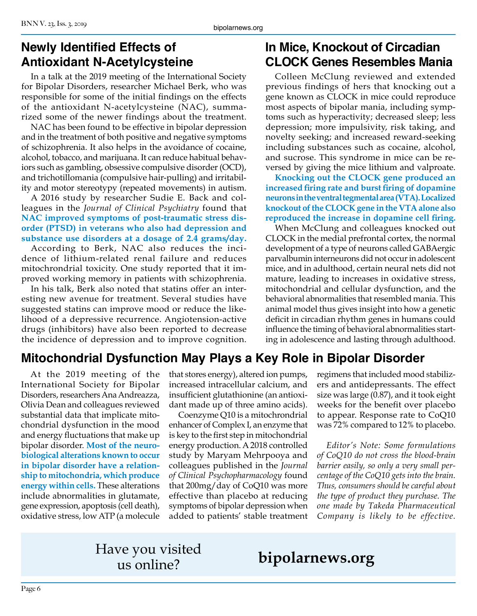#### **Newly Identified Effects of Antioxidant N-Acetylcysteine**

In a talk at the 2019 meeting of the International Society for Bipolar Disorders, researcher Michael Berk, who was responsible for some of the initial findings on the effects of the antioxidant N-acetylcysteine (NAC), summarized some of the newer findings about the treatment.

NAC has been found to be effective in bipolar depression and in the treatment of both positive and negative symptoms of schizophrenia. It also helps in the avoidance of cocaine, alcohol, tobacco, and marijuana. It can reduce habitual behaviors such as gambling, obsessive compulsive disorder (OCD), and trichotillomania (compulsive hair-pulling) and irritability and motor stereotypy (repeated movements) in autism.

A 2016 study by researcher Sudie E. Back and colleagues in the *Journal of Clinical Psychiatry* found that **NAC improved symptoms of post-traumatic stress disorder (PTSD) in veterans who also had depression and substance use disorders at a dosage of 2.4 grams/day.**

According to Berk, NAC also reduces the incidence of lithium-related renal failure and reduces mitochrondrial toxicity. One study reported that it improved working memory in patients with schizophrenia.

In his talk, Berk also noted that statins offer an interesting new avenue for treatment. Several studies have suggested statins can improve mood or reduce the likelihood of a depressive recurrence. Angiotension-active drugs (inhibitors) have also been reported to decrease the incidence of depression and to improve cognition.

#### **In Mice, Knockout of Circadian CLOCK Genes Resembles Mania**

Colleen McClung reviewed and extended previous findings of hers that knocking out a gene known as CLOCK in mice could reproduce most aspects of bipolar mania, including symptoms such as hyperactivity; decreased sleep; less depression; more impulsivity, risk taking, and novelty seeking; and increased reward-seeking including substances such as cocaine, alcohol, and sucrose. This syndrome in mice can be reversed by giving the mice lithium and valproate.

**Knocking out the CLOCK gene produced an increased firing rate and burst firing of dopamine neurons in the ventral tegmental area (VTA). Localized knockout of the CLOCK gene in the VTA alone also reproduced the increase in dopamine cell firing.** 

When McClung and colleagues knocked out CLOCK in the medial prefrontal cortex, the normal development of a type of neurons called GABAergic parvalbumin interneurons did not occur in adolescent mice, and in adulthood, certain neural nets did not mature, leading to increases in oxidative stress, mitochondrial and cellular dysfunction, and the behavioral abnormalities that resembled mania. This animal model thus gives insight into how a genetic deficit in circadian rhythm genes in humans could influence the timing of behavioral abnormalities starting in adolescence and lasting through adulthood.

#### **Mitochondrial Dysfunction May Plays a Key Role in Bipolar Disorder**

At the 2019 meeting of the International Society for Bipolar Disorders, researchers Ana Andreazza, Olivia Dean and colleagues reviewed substantial data that implicate mitochondrial dysfunction in the mood and energy fluctuations that make up bipolar disorder. **Most of the neurobiological alterations known to occur in bipolar disorder have a relationship to mitochondria, which produce energy within cells.** These alterations include abnormalities in glutamate, gene expression, apoptosis (cell death), oxidative stress, low ATP (a molecule

that stores energy), altered ion pumps, increased intracellular calcium, and insufficient glutathionine (an antioxidant made up of three amino acids).

Coenzyme Q10 is a mitochrondrial enhancer of Complex I, an enzyme that is key to the first step in mitochondrial energy production. A 2018 controlled study by Maryam Mehrpooya and colleagues published in the *Journal of Clinical Psychopharmacology* found that 200mg/day of CoQ10 was more effective than placebo at reducing symptoms of bipolar depression when added to patients' stable treatment

regimens that included mood stabilizers and antidepressants. The effect size was large (0.87), and it took eight weeks for the benefit over placebo to appear. Response rate to CoQ10 was 72% compared to 12% to placebo.

*Editor's Note: Some formulations of CoQ10 do not cross the blood-brain barrier easily, so only a very small percentage of the CoQ10 gets into the brain. Thus, consumers should be careful about the type of product they purchase. The one made by Takeda Pharmaceutical Company is likely to be effective.*

# Have you visited

# us online? **bipolarnews.org**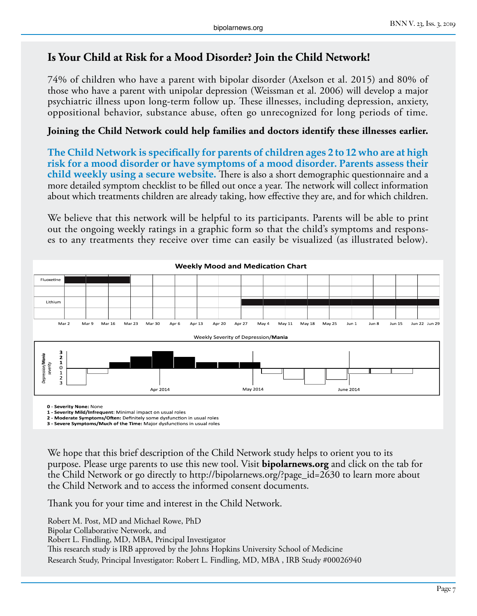#### **Is Your Child at Risk for a Mood Disorder? Join the Child Network!**

74% of children who have a parent with bipolar disorder (Axelson et al. 2015) and 80% of those who have a parent with unipolar depression (Weissman et al. 2006) will develop a major psychiatric illness upon long-term follow up. These illnesses, including depression, anxiety, oppositional behavior, substance abuse, often go unrecognized for long periods of time.

#### **Joining the Child Network could help families and doctors identify these illnesses earlier.**

**The Child Network is specifically for parents of children ages 2 to 12 who are at high risk for a mood disorder or have symptoms of a mood disorder. Parents assess their child weekly using a secure website.** There is also a short demographic questionnaire and a more detailed symptom checklist to be filled out once a year. The network will collect information about which treatments children are already taking, how effective they are, and for which children.

We believe that this network will be helpful to its participants. Parents will be able to print out the ongoing weekly ratings in a graphic form so that the child's symptoms and responses to any treatments they receive over time can easily be visualized (as illustrated below).



**0 - Severity None:** None

**1 - Severity Mild/Infrequent**: Minimal impact on usual roles

**2 - Moderate Symptoms/Often:** Definitely some dysfunction in usual roles **3 - Severe Symptoms/Much of the Time:** Major dysfunctions in usual roles

We hope that this brief description of the Child Network study helps to orient you to its purpose. Please urge parents to use this new tool. Visit **bipolarnews.org** and click on the tab for the Child Network or go directly to http://bipolarnews.org/?page\_id=2630 to learn more about the Child Network and to access the informed consent documents.

Thank you for your time and interest in the Child Network.

Robert M. Post, MD and Michael Rowe, PhD Bipolar Collaborative Network, and Robert L. Findling, MD, MBA, Principal Investigator This research study is IRB approved by the Johns Hopkins University School of Medicine Research Study, Principal Investigator: Robert L. Findling, MD, MBA , IRB Study #00026940